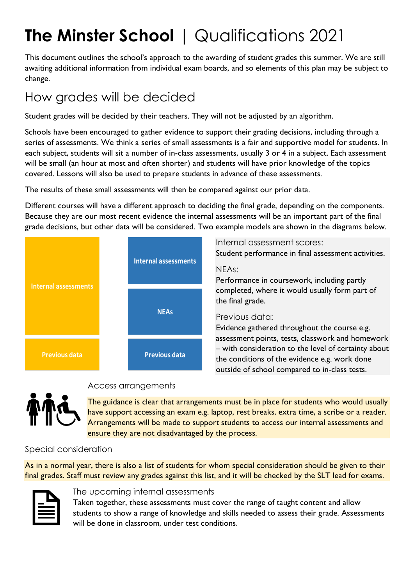# **The Minster School** | Qualifications 2021

This document outlines the school's approach to the awarding of student grades this summer. We are still awaiting additional information from individual exam boards, and so elements of this plan may be subject to change.

### How grades will be decided

Student grades will be decided by their teachers. They will not be adjusted by an algorithm.

Schools have been encouraged to gather evidence to support their grading decisions, including through a series of assessments. We think a series of small assessments is a fair and supportive model for students. In each subject, students will sit a number of in-class assessments, usually 3 or 4 in a subject. Each assessment will be small (an hour at most and often shorter) and students will have prior knowledge of the topics covered. Lessons will also be used to prepare students in advance of these assessments.

The results of these small assessments will then be compared against our prior data.

Different courses will have a different approach to deciding the final grade, depending on the components. Because they are our most recent evidence the internal assessments will be an important part of the final grade decisions, but other data will be considered. Two example models are shown in the diagrams below.



Internal assessment scores: Student performance in final assessment activities.

#### NEAs:

Performance in coursework, including partly completed, where it would usually form part of the final grade.

### Previous data:

Evidence gathered throughout the course e.g. assessment points, tests, classwork and homework – with consideration to the level of certainty about the conditions of the evidence e.g. work done outside of school compared to in-class tests.



### Access arrangements

The guidance is clear that arrangements must be in place for students who would usually have support accessing an exam e.g. laptop, rest breaks, extra time, a scribe or a reader. Arrangements will be made to support students to access our internal assessments and ensure they are not disadvantaged by the process.

### Special consideration

As in a normal year, there is also a list of students for whom special consideration should be given to their final grades. Staff must review any grades against this list, and it will be checked by the SLT lead for exams.



### The upcoming internal assessments

Taken together, these assessments must cover the range of taught content and allow students to show a range of knowledge and skills needed to assess their grade. Assessments will be done in classroom, under test conditions.